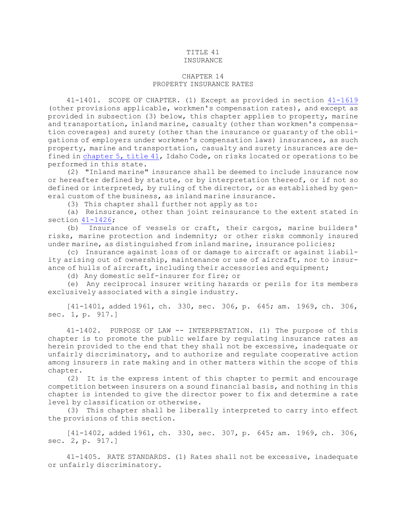## TITLE 41 INSURANCE

## CHAPTER 14 PROPERTY INSURANCE RATES

41-1401. SCOPE OF CHAPTER. (1) Except as provided in section [41-1619](https://legislature.idaho.gov/statutesrules/idstat/Title41/T41CH16/SECT41-1619) (other provisions applicable, workmen's compensation rates), and except as provided in subsection (3) below, this chapter applies to property, marine and transportation, inland marine, casualty (other than workmen's compensation coverages) and surety (other than the insurance or guaranty of the obligations of employers under workmen's compensation laws) insurances, as such property, marine and transportation, casualty and surety insurances are defined in [chapter](https://legislature.idaho.gov/statutesrules/idstat/Title41/T41CH5) 5, title 41, Idaho Code, on risks located or operations to be performed in this state.

(2) "Inland marine" insurance shall be deemed to include insurance now or hereafter defined by statute, or by interpretation thereof, or if not so defined or interpreted, by ruling of the director, or as established by general custom of the business, as inland marine insurance.

(3) This chapter shall further not apply as to:

(a) Reinsurance, other than joint reinsurance to the extent stated in section  $41-1426$ ;

(b) Insurance of vessels or craft, their cargos, marine builders' risks, marine protection and indemnity; or other risks commonly insured under marine, as distinguished from inland marine, insurance policies;

(c) Insurance against loss of or damage to aircraft or against liability arising out of ownership, maintenance or use of aircraft, nor to insurance of hulls of aircraft, including their accessories and equipment;

(d) Any domestic self-insurer for fire; or

(e) Any reciprocal insurer writing hazards or perils for its members exclusively associated with <sup>a</sup> single industry.

[41-1401, added 1961, ch. 330, sec. 306, p. 645; am. 1969, ch. 306, sec. 1, p. 917.]

41-1402. PURPOSE OF LAW -- INTERPRETATION. (1) The purpose of this chapter is to promote the public welfare by regulating insurance rates as herein provided to the end that they shall not be excessive, inadequate or unfairly discriminatory, and to authorize and regulate cooperative action among insurers in rate making and in other matters within the scope of this chapter.

(2) It is the express intent of this chapter to permit and encourage competition between insurers on <sup>a</sup> sound financial basis, and nothing in this chapter is intended to give the director power to fix and determine <sup>a</sup> rate level by classification or otherwise.

(3) This chapter shall be liberally interpreted to carry into effect the provisions of this section.

[41-1402, added 1961, ch. 330, sec. 307, p. 645; am. 1969, ch. 306, sec. 2, p. 917.]

41-1405. RATE STANDARDS. (1) Rates shall not be excessive, inadequate or unfairly discriminatory.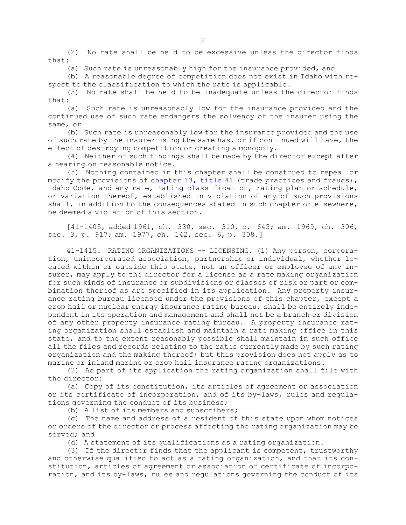(2) No rate shall be held to be excessive unless the director finds that:

(a) Such rate is unreasonably high for the insurance provided, and

(b) <sup>A</sup> reasonable degree of competition does not exist in Idaho with respect to the classification to which the rate is applicable.

(3) No rate shall be held to be inadequate unless the director finds that:

(a) Such rate is unreasonably low for the insurance provided and the continued use of such rate endangers the solvency of the insurer using the same, or

(b) Such rate is unreasonably low for the insurance provided and the use of such rate by the insurer using the same has, or if continued will have, the effect of destroying competition or creating <sup>a</sup> monopoly.

(4) Neither of such findings shall be made by the director except after <sup>a</sup> hearing on reasonable notice.

(5) Nothing contained in this chapter shall be construed to repeal or modify the provisions of [chapter](https://legislature.idaho.gov/statutesrules/idstat/Title41/T41CH13) 13, title 41 (trade practices and frauds), Idaho Code, and any rate, rating classification, rating plan or schedule, or variation thereof, established in violation of any of such provisions shall, in addition to the consequences stated in such chapter or elsewhere, be deemed <sup>a</sup> violation of this section.

[41-1405, added 1961, ch. 330, sec. 310, p. 645; am. 1969, ch. 306, sec. 3, p. 917; am. 1977, ch. 142, sec. 6, p. 308.]

41-1415. RATING ORGANIZATIONS -- LICENSING. (1) Any person, corporation, unincorporated association, partnership or individual, whether located within or outside this state, not an officer or employee of any insurer, may apply to the director for a license as a rate making organization for such kinds of insurance or subdivisions or classes of risk or part or combination thereof as are specified in its application. Any property insurance rating bureau licensed under the provisions of this chapter, except <sup>a</sup> crop hail or nuclear energy insurance rating bureau, shall be entirely independent in its operation and management and shall not be <sup>a</sup> branch or division of any other property insurance rating bureau. <sup>A</sup> property insurance rating organization shall establish and maintain <sup>a</sup> rate making office in this state, and to the extent reasonably possible shall maintain in such office all the files and records relating to the rates currently made by such rating organization and the making thereof; but this provision does not apply as to marine or inland marine or crop hail insurance rating organizations.

(2) As part of its application the rating organization shall file with the director:

(a) Copy of its constitution, its articles of agreement or association or its certificate of incorporation, and of its by-laws, rules and regulations governing the conduct of its business;

(b) A list of its members and subscribers;

(c) The name and address of <sup>a</sup> resident of this state upon whom notices or orders of the director or process affecting the rating organization may be served; and

(d) <sup>A</sup> statement of its qualifications as <sup>a</sup> rating organization.

(3) If the director finds that the applicant is competent, trustworthy and otherwise qualified to act as <sup>a</sup> rating organization, and that its constitution, articles of agreement or association or certificate of incorporation, and its by-laws, rules and regulations governing the conduct of its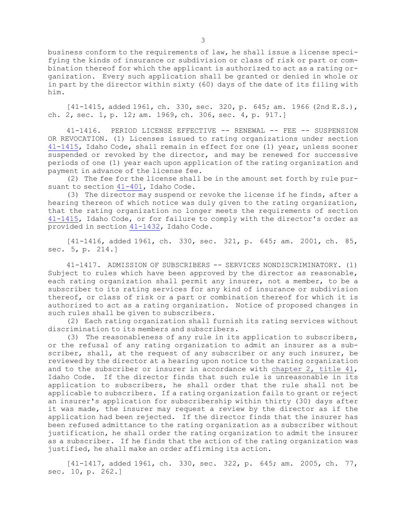business conform to the requirements of law, he shall issue <sup>a</sup> license specifying the kinds of insurance or subdivision or class of risk or part or combination thereof for which the applicant is authorized to act as <sup>a</sup> rating organization. Every such application shall be granted or denied in whole or in part by the director within sixty (60) days of the date of its filing with him.

 $[41-1415,$  added 1961, ch. 330, sec. 320, p. 645; am. 1966 (2nd E.S.), ch. 2, sec. 1, p. 12; am. 1969, ch. 306, sec. 4, p. 917.]

41-1416. PERIOD LICENSE EFFECTIVE -- RENEWAL -- FEE -- SUSPENSION OR REVOCATION. (1) Licenses issued to rating organizations under section [41-1415](https://legislature.idaho.gov/statutesrules/idstat/Title41/T41CH14/SECT41-1415), Idaho Code, shall remain in effect for one (1) year, unless sooner suspended or revoked by the director, and may be renewed for successive periods of one (1) year each upon application of the rating organization and payment in advance of the license fee.

(2) The fee for the license shall be in the amount set forth by rule pur-suant to section [41-401](https://legislature.idaho.gov/statutesrules/idstat/Title41/T41CH4/SECT41-401), Idaho Code.

(3) The director may suspend or revoke the license if he finds, after <sup>a</sup> hearing thereon of which notice was duly given to the rating organization, that the rating organization no longer meets the requirements of section [41-1415](https://legislature.idaho.gov/statutesrules/idstat/Title41/T41CH14/SECT41-1415), Idaho Code, or for failure to comply with the director's order as provided in section [41-1432](https://legislature.idaho.gov/statutesrules/idstat/Title41/T41CH14/SECT41-1432), Idaho Code.

[41-1416, added 1961, ch. 330, sec. 321, p. 645; am. 2001, ch. 85, sec. 5, p. 214.]

41-1417. ADMISSION OF SUBSCRIBERS -- SERVICES NONDISCRIMINATORY. (1) Subject to rules which have been approved by the director as reasonable, each rating organization shall permit any insurer, not <sup>a</sup> member, to be <sup>a</sup> subscriber to its rating services for any kind of insurance or subdivision thereof, or class of risk or <sup>a</sup> part or combination thereof for which it is authorized to act as <sup>a</sup> rating organization. Notice of proposed changes in such rules shall be given to subscribers.

(2) Each rating organization shall furnish its rating services without discrimination to its members and subscribers.

(3) The reasonableness of any rule in its application to subscribers, or the refusal of any rating organization to admit an insurer as <sup>a</sup> subscriber, shall, at the request of any subscriber or any such insurer, be reviewed by the director at <sup>a</sup> hearing upon notice to the rating organization and to the subscriber or insurer in accordance with [chapter](https://legislature.idaho.gov/statutesrules/idstat/Title41/T41CH2) 2, title 41, Idaho Code. If the director finds that such rule is unreasonable in its application to subscribers, he shall order that the rule shall not be applicable to subscribers. If <sup>a</sup> rating organization fails to grant or reject an insurer's application for subscribership within thirty (30) days after it was made, the insurer may request <sup>a</sup> review by the director as if the application had been rejected. If the director finds that the insurer has been refused admittance to the rating organization as <sup>a</sup> subscriber without justification, he shall order the rating organization to admit the insurer as <sup>a</sup> subscriber. If he finds that the action of the rating organization was justified, he shall make an order affirming its action.

[41-1417, added 1961, ch. 330, sec. 322, p. 645; am. 2005, ch. 77, sec. 10, p. 262.]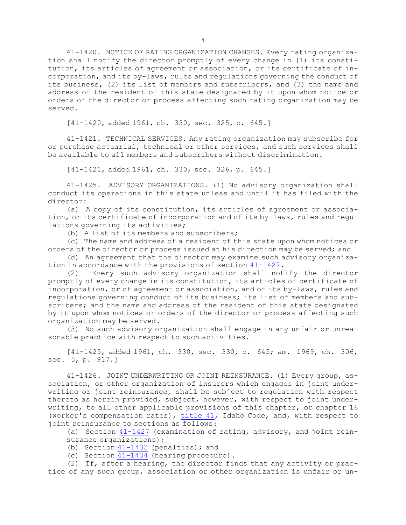41-1420. NOTICE OF RATING ORGANIZATION CHANGES. Every rating organization shall notify the director promptly of every change in (1) its constitution, its articles of agreement or association, or its certificate of incorporation, and its by-laws, rules and regulations governing the conduct of its business, (2) its list of members and subscribers, and (3) the name and address of the resident of this state designated by it upon whom notice or orders of the director or process affecting such rating organization may be served.

[41-1420, added 1961, ch. 330, sec. 325, p. 645.]

41-1421. TECHNICAL SERVICES. Any rating organization may subscribe for or purchase actuarial, technical or other services, and such services shall be available to all members and subscribers without discrimination.

[41-1421, added 1961, ch. 330, sec. 326, p. 645.]

41-1425. ADVISORY ORGANIZATIONS. (1) No advisory organization shall conduct its operations in this state unless and until it has filed with the director:

(a) <sup>A</sup> copy of its constitution, its articles of agreement or association, or its certificate of incorporation and of its by-laws, rules and regulations governing its activities;

(b) A list of its members and subscribers;

(c) The name and address of <sup>a</sup> resident of this state upon whom notices or orders of the director or process issued at his direction may be served; and

(d) An agreement that the director may examine such advisory organization in accordance with the provisions of section [41-1427](https://legislature.idaho.gov/statutesrules/idstat/Title41/T41CH14/SECT41-1427).

(2) Every such advisory organization shall notify the director promptly of every change in its constitution, its articles of certificate of incorporation, or of agreement or association, and of its by-laws, rules and regulations governing conduct of its business; its list of members and subscribers; and the name and address of the resident of this state designated by it upon whom notices or orders of the director or process affecting such organization may be served.

(3) No such advisory organization shall engage in any unfair or unreasonable practice with respect to such activities.

[41-1425, added 1961, ch. 330, sec. 330, p. 645; am. 1969, ch. 306, sec. 5, p. 917.]

41-1426. JOINT UNDERWRITING OR JOINT REINSURANCE. (1) Every group, association, or other organization of insurers which engages in joint underwriting or joint reinsurance, shall be subject to regulation with respect thereto as herein provided, subject, however, with respect to joint underwriting, to all other applicable provisions of this chapter, or chapter 16 (worker's compensation rates), [title](https://legislature.idaho.gov/statutesrules/idstat/Title41/) 41, Idaho Code, and, with respect to joint reinsurance to sections as follows:

(a) Section [41-1427](https://legislature.idaho.gov/statutesrules/idstat/Title41/T41CH14/SECT41-1427) (examination of rating, advisory, and joint reinsurance organizations);

(b) Section  $41-1432$  (penalties); and

(c) Section [41-1434](https://legislature.idaho.gov/statutesrules/idstat/Title41/T41CH14/SECT41-1434) (hearing procedure).

(2) If, after <sup>a</sup> hearing, the director finds that any activity or practice of any such group, association or other organization is unfair or un-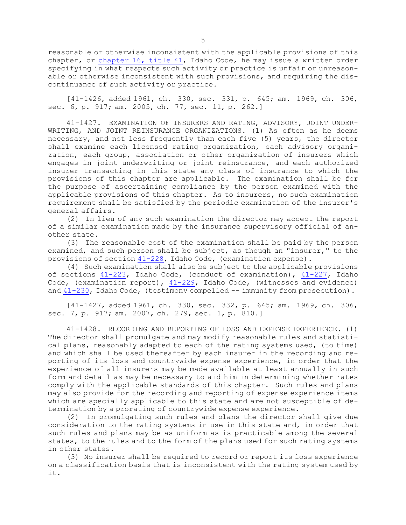reasonable or otherwise inconsistent with the applicable provisions of this chapter, or [chapter](https://legislature.idaho.gov/statutesrules/idstat/Title41/T41CH16) 16, title 41, Idaho Code, he may issue <sup>a</sup> written order specifying in what respects such activity or practice is unfair or unreasonable or otherwise inconsistent with such provisions, and requiring the discontinuance of such activity or practice.

[41-1426, added 1961, ch. 330, sec. 331, p. 645; am. 1969, ch. 306, sec. 6, p. 917; am. 2005, ch. 77, sec. 11, p. 262.]

41-1427. EXAMINATION OF INSURERS AND RATING, ADVISORY, JOINT UNDER-WRITING, AND JOINT REINSURANCE ORGANIZATIONS. (1) As often as he deems necessary, and not less frequently than each five (5) years, the director shall examine each licensed rating organization, each advisory organization, each group, association or other organization of insurers which engages in joint underwriting or joint reinsurance, and each authorized insurer transacting in this state any class of insurance to which the provisions of this chapter are applicable. The examination shall be for the purpose of ascertaining compliance by the person examined with the applicable provisions of this chapter. As to insurers, no such examination requirement shall be satisfied by the periodic examination of the insurer's general affairs.

(2) In lieu of any such examination the director may accept the report of <sup>a</sup> similar examination made by the insurance supervisory official of another state.

(3) The reasonable cost of the examination shall be paid by the person examined, and such person shall be subject, as though an "insurer," to the provisions of section  $41-228$ , Idaho Code, (examination expense).

(4) Such examination shall also be subject to the applicable provisions of sections [41-223](https://legislature.idaho.gov/statutesrules/idstat/Title41/T41CH2/SECT41-223), Idaho Code, (conduct of examination), [41-227](https://legislature.idaho.gov/statutesrules/idstat/Title41/T41CH2/SECT41-227), Idaho Code, (examination report), [41-229](https://legislature.idaho.gov/statutesrules/idstat/Title41/T41CH2/SECT41-229), Idaho Code, (witnesses and evidence) and  $41-230$ , Idaho Code, (testimony compelled  $-$  immunity from prosecution).

[41-1427, added 1961, ch. 330, sec. 332, p. 645; am. 1969, ch. 306, sec. 7, p. 917; am. 2007, ch. 279, sec. 1, p. 810.]

41-1428. RECORDING AND REPORTING OF LOSS AND EXPENSE EXPERIENCE. (1) The director shall promulgate and may modify reasonable rules and statistical plans, reasonably adapted to each of the rating systems used, (to time) and which shall be used thereafter by each insurer in the recording and reporting of its loss and countrywide expense experience, in order that the experience of all insurers may be made available at least annually in such form and detail as may be necessary to aid him in determining whether rates comply with the applicable standards of this chapter. Such rules and plans may also provide for the recording and reporting of expense experience items which are specially applicable to this state and are not susceptible of determination by <sup>a</sup> prorating of countrywide expense experience.

(2) In promulgating such rules and plans the director shall give due consideration to the rating systems in use in this state and, in order that such rules and plans may be as uniform as is practicable among the several states, to the rules and to the form of the plans used for such rating systems in other states.

(3) No insurer shall be required to record or report its loss experience on <sup>a</sup> classification basis that is inconsistent with the rating system used by it.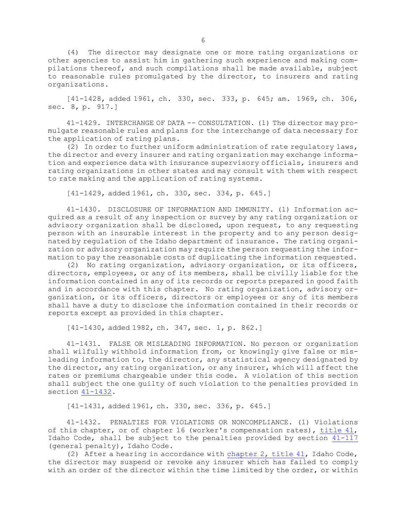(4) The director may designate one or more rating organizations or other agencies to assist him in gathering such experience and making compilations thereof, and such compilations shall be made available, subject to reasonable rules promulgated by the director, to insurers and rating organizations.

[41-1428, added 1961, ch. 330, sec. 333, p. 645; am. 1969, ch. 306, sec. 8, p. 917.]

41-1429. INTERCHANGE OF DATA -- CONSULTATION. (1) The director may promulgate reasonable rules and plans for the interchange of data necessary for the application of rating plans.

(2) In order to further uniform administration of rate regulatory laws, the director and every insurer and rating organization may exchange information and experience data with insurance supervisory officials, insurers and rating organizations in other states and may consult with them with respect to rate making and the application of rating systems.

[41-1429, added 1961, ch. 330, sec. 334, p. 645.]

41-1430. DISCLOSURE OF INFORMATION AND IMMUNITY. (1) Information acquired as <sup>a</sup> result of any inspection or survey by any rating organization or advisory organization shall be disclosed, upon request, to any requesting person with an insurable interest in the property and to any person designated by regulation of the Idaho department of insurance. The rating organization or advisory organization may require the person requesting the information to pay the reasonable costs of duplicating the information requested.

(2) No rating organization, advisory organization, or its officers, directors, employees, or any of its members, shall be civilly liable for the information contained in any of its records or reports prepared in good faith and in accordance with this chapter. No rating organization, advisory organization, or its officers, directors or employees or any of its members shall have <sup>a</sup> duty to disclose the information contained in their records or reports except as provided in this chapter.

[41-1430, added 1982, ch. 347, sec. 1, p. 862.]

41-1431. FALSE OR MISLEADING INFORMATION. No person or organization shall wilfully withhold information from, or knowingly give false or misleading information to, the director, any statistical agency designated by the director, any rating organization, or any insurer, which will affect the rates or premiums chargeable under this code. <sup>A</sup> violation of this section shall subject the one guilty of such violation to the penalties provided in section [41-1432](https://legislature.idaho.gov/statutesrules/idstat/Title41/T41CH14/SECT41-1432).

[41-1431, added 1961, ch. 330, sec. 336, p. 645.]

41-1432. PENALTIES FOR VIOLATIONS OR NONCOMPLIANCE. (1) Violations of this chapter, or of chapter 16 (worker's compensation rates), [title](https://legislature.idaho.gov/statutesrules/idstat/Title41/) 41, Idaho Code, shall be subject to the penalties provided by section [41-117](https://legislature.idaho.gov/statutesrules/idstat/Title41/T41CH1/SECT41-117) (general penalty), Idaho Code.

(2) After <sup>a</sup> hearing in accordance with [chapter](https://legislature.idaho.gov/statutesrules/idstat/Title41/T41CH2) 2, title 41, Idaho Code, the director may suspend or revoke any insurer which has failed to comply with an order of the director within the time limited by the order, or within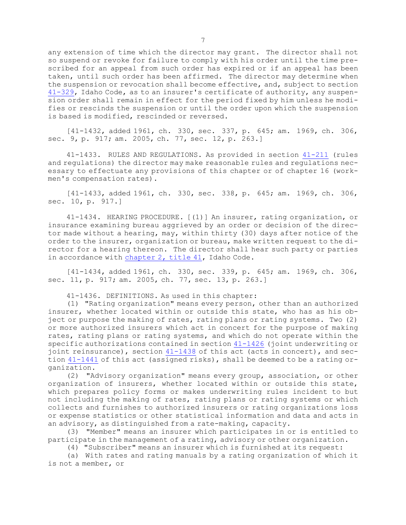any extension of time which the director may grant. The director shall not so suspend or revoke for failure to comply with his order until the time prescribed for an appeal from such order has expired or if an appeal has been taken, until such order has been affirmed. The director may determine when the suspension or revocation shall become effective, and, subject to section [41-329](https://legislature.idaho.gov/statutesrules/idstat/Title41/T41CH3/SECT41-329), Idaho Code, as to an insurer's certificate of authority, any suspension order shall remain in effect for the period fixed by him unless he modifies or rescinds the suspension or until the order upon which the suspension is based is modified, rescinded or reversed.

[41-1432, added 1961, ch. 330, sec. 337, p. 645; am. 1969, ch. 306, sec. 9, p. 917; am. 2005, ch. 77, sec. 12, p. 263.]

41-1433. RULES AND REGULATIONS. As provided in section [41-211](https://legislature.idaho.gov/statutesrules/idstat/Title41/T41CH2/SECT41-211) (rules and regulations) the director may make reasonable rules and regulations necessary to effectuate any provisions of this chapter or of chapter 16 (workmen's compensation rates).

[41-1433, added 1961, ch. 330, sec. 338, p. 645; am. 1969, ch. 306, sec. 10, p. 917.]

41-1434. HEARING PROCEDURE. [(1)] An insurer, rating organization, or insurance examining bureau aggrieved by an order or decision of the director made without <sup>a</sup> hearing, may, within thirty (30) days after notice of the order to the insurer, organization or bureau, make written request to the director for <sup>a</sup> hearing thereon. The director shall hear such party or parties in accordance with [chapter](https://legislature.idaho.gov/statutesrules/idstat/Title41/T41CH2) 2, title 41, Idaho Code.

[41-1434, added 1961, ch. 330, sec. 339, p. 645; am. 1969, ch. 306, sec. 11, p. 917; am. 2005, ch. 77, sec. 13, p. 263.]

41-1436. DEFINITIONS. As used in this chapter:

(1) "Rating organization" means every person, other than an authorized insurer, whether located within or outside this state, who has as his object or purpose the making of rates, rating plans or rating systems. Two (2) or more authorized insurers which act in concert for the purpose of making rates, rating plans or rating systems, and which do not operate within the specific authorizations contained in section [41-1426](https://legislature.idaho.gov/statutesrules/idstat/Title41/T41CH14/SECT41-1426) (joint underwriting or joint reinsurance), section [41-1438](https://legislature.idaho.gov/statutesrules/idstat/Title41/T41CH14/SECT41-1438) of this act (acts in concert), and section [41-1441](https://legislature.idaho.gov/statutesrules/idstat/Title41/T41CH14/SECT41-1441) of this act (assigned risks), shall be deemed to be <sup>a</sup> rating organization.

(2) "Advisory organization" means every group, association, or other organization of insurers, whether located within or outside this state, which prepares policy forms or makes underwriting rules incident to but not including the making of rates, rating plans or rating systems or which collects and furnishes to authorized insurers or rating organizations loss or expense statistics or other statistical information and data and acts in an advisory, as distinguished from <sup>a</sup> rate-making, capacity.

(3) "Member" means an insurer which participates in or is entitled to participate in the management of <sup>a</sup> rating, advisory or other organization.

(4) "Subscriber" means an insurer which is furnished at its request:

(a) With rates and rating manuals by <sup>a</sup> rating organization of which it is not <sup>a</sup> member, or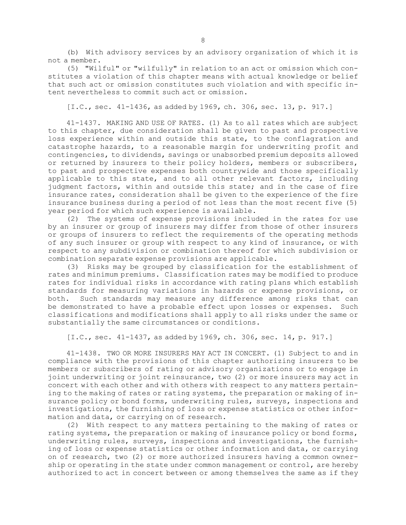(b) With advisory services by an advisory organization of which it is not a member.

(5) "Wilful" or "wilfully" in relation to an act or omission which constitutes <sup>a</sup> violation of this chapter means with actual knowledge or belief that such act or omission constitutes such violation and with specific intent nevertheless to commit such act or omission.

[I.C., sec. 41-1436, as added by 1969, ch. 306, sec. 13, p. 917.]

41-1437. MAKING AND USE OF RATES. (1) As to all rates which are subject to this chapter, due consideration shall be given to past and prospective loss experience within and outside this state, to the conflagration and catastrophe hazards, to <sup>a</sup> reasonable margin for underwriting profit and contingencies, to dividends, savings or unabsorbed premium deposits allowed or returned by insurers to their policy holders, members or subscribers, to past and prospective expenses both countrywide and those specifically applicable to this state, and to all other relevant factors, including judgment factors, within and outside this state; and in the case of fire insurance rates, consideration shall be given to the experience of the fire insurance business during <sup>a</sup> period of not less than the most recent five (5) year period for which such experience is available.

(2) The systems of expense provisions included in the rates for use by an insurer or group of insurers may differ from those of other insurers or groups of insurers to reflect the requirements of the operating methods of any such insurer or group with respect to any kind of insurance, or with respect to any subdivision or combination thereof for which subdivision or combination separate expense provisions are applicable.

(3) Risks may be grouped by classification for the establishment of rates and minimum premiums. Classification rates may be modified to produce rates for individual risks in accordance with rating plans which establish standards for measuring variations in hazards or expense provisions, or both. Such standards may measure any difference among risks that can be demonstrated to have <sup>a</sup> probable effect upon losses or expenses. Such classifications and modifications shall apply to all risks under the same or substantially the same circumstances or conditions.

[I.C., sec. 41-1437, as added by 1969, ch. 306, sec. 14, p. 917.]

41-1438. TWO OR MORE INSURERS MAY ACT IN CONCERT. (1) Subject to and in compliance with the provisions of this chapter authorizing insurers to be members or subscribers of rating or advisory organizations or to engage in joint underwriting or joint reinsurance, two (2) or more insurers may act in concert with each other and with others with respect to any matters pertaining to the making of rates or rating systems, the preparation or making of insurance policy or bond forms, underwriting rules, surveys, inspections and investigations, the furnishing of loss or expense statistics or other information and data, or carrying on of research.

(2) With respect to any matters pertaining to the making of rates or rating systems, the preparation or making of insurance policy or bond forms, underwriting rules, surveys, inspections and investigations, the furnishing of loss or expense statistics or other information and data, or carrying on of research, two (2) or more authorized insurers having <sup>a</sup> common ownership or operating in the state under common management or control, are hereby authorized to act in concert between or among themselves the same as if they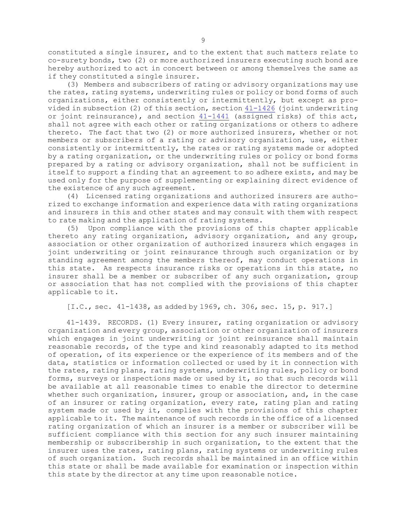constituted <sup>a</sup> single insurer, and to the extent that such matters relate to co-surety bonds, two (2) or more authorized insurers executing such bond are hereby authorized to act in concert between or among themselves the same as if they constituted <sup>a</sup> single insurer.

(3) Members and subscribers of rating or advisory organizations may use the rates, rating systems, underwriting rules or policy or bond forms of such organizations, either consistently or intermittently, but except as provided in subsection (2) of this section, section [41-1426](https://legislature.idaho.gov/statutesrules/idstat/Title41/T41CH14/SECT41-1426) (joint underwriting or joint reinsurance), and section [41-1441](https://legislature.idaho.gov/statutesrules/idstat/Title41/T41CH14/SECT41-1441) (assigned risks) of this act, shall not agree with each other or rating organizations or others to adhere thereto. The fact that two (2) or more authorized insurers, whether or not members or subscribers of <sup>a</sup> rating or advisory organization, use, either consistently or intermittently, the rates or rating systems made or adopted by <sup>a</sup> rating organization, or the underwriting rules or policy or bond forms prepared by <sup>a</sup> rating or advisory organization, shall not be sufficient in itself to support <sup>a</sup> finding that an agreement to so adhere exists, and may be used only for the purpose of supplementing or explaining direct evidence of the existence of any such agreement.

(4) Licensed rating organizations and authorized insurers are authorized to exchange information and experience data with rating organizations and insurers in this and other states and may consult with them with respect to rate making and the application of rating systems.

(5) Upon compliance with the provisions of this chapter applicable thereto any rating organization, advisory organization, and any group, association or other organization of authorized insurers which engages in joint underwriting or joint reinsurance through such organization or by standing agreement among the members thereof, may conduct operations in this state. As respects insurance risks or operations in this state, no insurer shall be <sup>a</sup> member or subscriber of any such organization, group or association that has not complied with the provisions of this chapter applicable to it.

[I.C., sec. 41-1438, as added by 1969, ch. 306, sec. 15, p. 917.]

41-1439. RECORDS. (1) Every insurer, rating organization or advisory organization and every group, association or other organization of insurers which engages in joint underwriting or joint reinsurance shall maintain reasonable records, of the type and kind reasonably adapted to its method of operation, of its experience or the experience of its members and of the data, statistics or information collected or used by it in connection with the rates, rating plans, rating systems, underwriting rules, policy or bond forms, surveys or inspections made or used by it, so that such records will be available at all reasonable times to enable the director to determine whether such organization, insurer, group or association, and, in the case of an insurer or rating organization, every rate, rating plan and rating system made or used by it, complies with the provisions of this chapter applicable to it. The maintenance of such records in the office of <sup>a</sup> licensed rating organization of which an insurer is <sup>a</sup> member or subscriber will be sufficient compliance with this section for any such insurer maintaining membership or subscribership in such organization, to the extent that the insurer uses the rates, rating plans, rating systems or underwriting rules of such organization. Such records shall be maintained in an office within this state or shall be made available for examination or inspection within this state by the director at any time upon reasonable notice.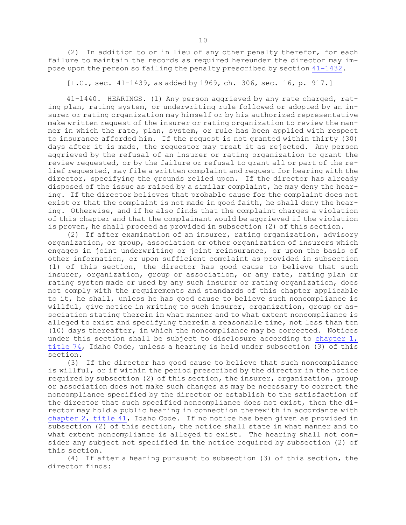(2) In addition to or in lieu of any other penalty therefor, for each failure to maintain the records as required hereunder the director may impose upon the person so failing the penalty prescribed by section [41-1432](https://legislature.idaho.gov/statutesrules/idstat/Title41/T41CH14/SECT41-1432).

[I.C., sec. 41-1439, as added by 1969, ch. 306, sec. 16, p. 917.]

41-1440. HEARINGS. (1) Any person aggrieved by any rate charged, rating plan, rating system, or underwriting rule followed or adopted by an insurer or rating organization may himself or by his authorized representative make written request of the insurer or rating organization to review the manner in which the rate, plan, system, or rule has been applied with respect to insurance afforded him. If the request is not granted within thirty (30) days after it is made, the requestor may treat it as rejected. Any person aggrieved by the refusal of an insurer or rating organization to grant the review requested, or by the failure or refusal to grant all or part of the relief requested, may file <sup>a</sup> written complaint and request for hearing with the director, specifying the grounds relied upon. If the director has already disposed of the issue as raised by <sup>a</sup> similar complaint, he may deny the hearing. If the director believes that probable cause for the complaint does not exist or that the complaint is not made in good faith, he shall deny the hearing. Otherwise, and if he also finds that the complaint charges <sup>a</sup> violation of this chapter and that the complainant would be aggrieved if the violation is proven, he shall proceed as provided in subsection (2) of this section.

(2) If after examination of an insurer, rating organization, advisory organization, or group, association or other organization of insurers which engages in joint underwriting or joint reinsurance, or upon the basis of other information, or upon sufficient complaint as provided in subsection (1) of this section, the director has good cause to believe that such insurer, organization, group or association, or any rate, rating plan or rating system made or used by any such insurer or rating organization, does not comply with the requirements and standards of this chapter applicable to it, he shall, unless he has good cause to believe such noncompliance is willful, give notice in writing to such insurer, organization, group or association stating therein in what manner and to what extent noncompliance is alleged to exist and specifying therein <sup>a</sup> reasonable time, not less than ten (10) days thereafter, in which the noncompliance may be corrected. Notices under this section shall be subject to disclosure according to [chapter](https://legislature.idaho.gov/statutesrules/idstat/Title74/T74CH1) 1, [title](https://legislature.idaho.gov/statutesrules/idstat/Title74/T74CH1) 74, Idaho Code, unless <sup>a</sup> hearing is held under subsection (3) of this section.

(3) If the director has good cause to believe that such noncompliance is willful, or if within the period prescribed by the director in the notice required by subsection (2) of this section, the insurer, organization, group or association does not make such changes as may be necessary to correct the noncompliance specified by the director or establish to the satisfaction of the director that such specified noncompliance does not exist, then the director may hold <sup>a</sup> public hearing in connection therewith in accordance with [chapter](https://legislature.idaho.gov/statutesrules/idstat/Title41/T41CH2) 2, title 41, Idaho Code. If no notice has been given as provided in subsection (2) of this section, the notice shall state in what manner and to what extent noncompliance is alleged to exist. The hearing shall not consider any subject not specified in the notice required by subsection (2) of this section.

(4) If after <sup>a</sup> hearing pursuant to subsection (3) of this section, the director finds: